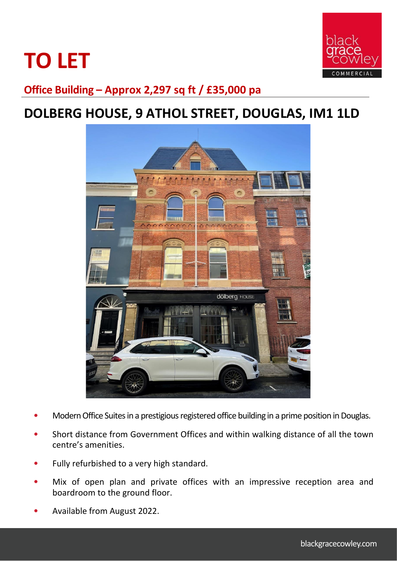# **TO LET**



**Office Building – Approx 2,297 sq ft / £35,000 pa**

## **DOLBERG HOUSE, 9 ATHOL STREET, DOUGLAS, IM1 1LD**



- Modern Office Suites in a prestigious registered office building in a prime position in Douglas.
- Short distance from Government Offices and within walking distance of all the town centre's amenities.
- Fully refurbished to a very high standard.
- Mix of open plan and private offices with an impressive reception area and boardroom to the ground floor.
- Available from August 2022.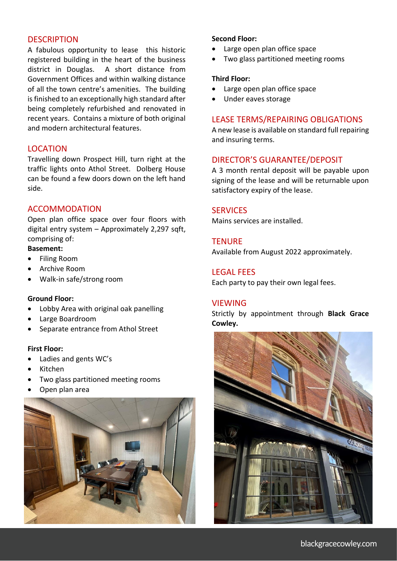#### **DESCRIPTION**

A fabulous opportunity to lease this historic registered building in the heart of the business district in Douglas. A short distance from Government Offices and within walking distance of all the town centre's amenities. The building is finished to an exceptionally high standard after being completely refurbished and renovated in recent years. Contains a mixture of both original and modern architectural features.

### **LOCATION**

Travelling down Prospect Hill, turn right at the traffic lights onto Athol Street. Dolberg House can be found a few doors down on the left hand side.

### ACCOMMODATION

Open plan office space over four floors with digital entry system – Approximately 2,297 sqft, comprising of:

#### **Basement:**

- Filing Room
- Archive Room
- Walk-in safe/strong room

#### **Ground Floor:**

- Lobby Area with original oak panelling
- Large Boardroom
- Separate entrance from Athol Street

#### **First Floor:**

- Ladies and gents WC's
- Kitchen
- Two glass partitioned meeting rooms
- Open plan area



#### **Second Floor:**

- Large open plan office space
- Two glass partitioned meeting rooms

#### **Third Floor:**

- Large open plan office space
- Under eaves storage

#### LEASE TERMS/REPAIRING OBLIGATIONS

A new lease is available on standard full repairing and insuring terms.

#### DIRECTOR'S GUARANTEE/DEPOSIT

A 3 month rental deposit will be payable upon signing of the lease and will be returnable upon satisfactory expiry of the lease.

#### **SERVICES**

Mains services are installed.

#### **TENURE**

Available from August 2022 approximately.

#### LEGAL FEES

Each party to pay their own legal fees.

#### **VIFWING**

Strictly by appointment through **Black Grace Cowley.**